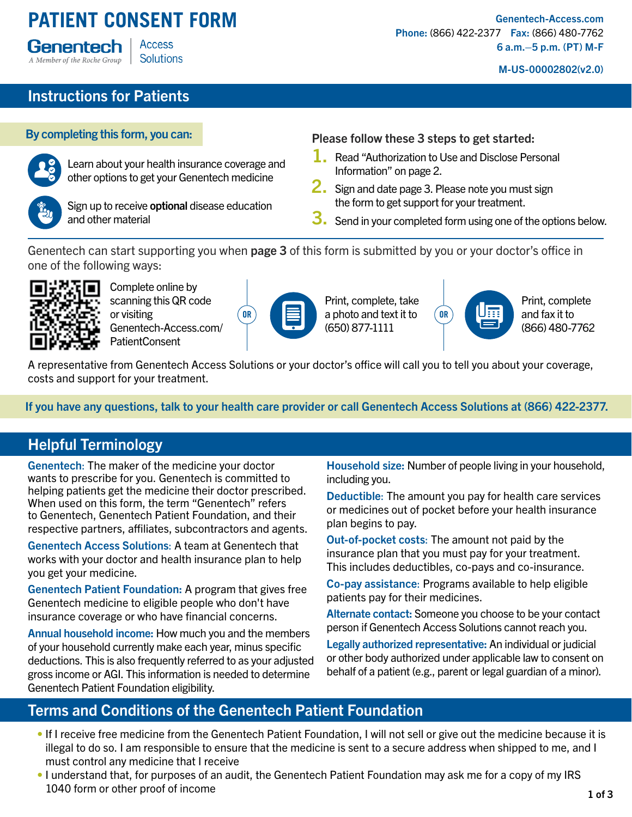#### **PATIENT CONSENT FORM Access** Genentech **Solutions** A Member of the Roche Group

[Genentech-Access.com](https://www.genentech-access.com/patient.html) Phone: (866) 422-2377 Fax: (866) 480-7762 6 a.m.–5 p.m. (PT) M-F

M-US-00002802(v2.0)

# Instructions for Patients



Learn about your health insurance coverage and other options to get your Genentech medicine



Sign up to receive **optional** disease education and other material

#### By completing this form, you can: Please follow these 3 steps to get started:

- 1. Read "Authorization to Use and Disclose Personal Information" on page 2.
- 2. Sign and date page 3. Please note you must sign the form to get support for your treatment.
- 3. Send in your completed form using one of the options below.

Genentech can start supporting you when page 3 of this form is submitted by you or your doctor's office in one of the following ways:



Complete online by scanning this QR code or visiting [Genentech-Access.com/](https://www.genentech-access.com/patient/patientconsent.html) [PatientConsent](https://www.genentech-access.com/patient/patientconsent.html)

| ρ |
|---|
|---|

Print, complete, take  $\overline{\mathsf{OR}}$   $\Box$  a photo and text it to  $\overline{\mathsf{OR}}$ (650) 877-1111



Print, complete and fax it to (866) 480-7762

A representative from Genentech Access Solutions or your doctor's office will call you to tell you about your coverage, costs and support for your treatment.

If you have any questions, talk to your health care provider or call Genentech Access Solutions at (866) 422-2377.

### Helpful Terminology

Genentech: The maker of the medicine your doctor wants to prescribe for you. Genentech is committed to helping patients get the medicine their doctor prescribed. When used on this form, the term "Genentech" refers to Genentech, Genentech Patient Foundation, and their respective partners, affiliates, subcontractors and agents.

Genentech Access Solutions: A team at Genentech that works with your doctor and health insurance plan to help you get your medicine.

Genentech Patient Foundation: A program that gives free Genentech medicine to eligible people who don't have insurance coverage or who have financial concerns.

Annual household income: How much you and the members of your household currently make each year, minus specific deductions. This is also frequently referred to as your adjusted gross income or AGI. This information is needed to determine Genentech Patient Foundation eligibility.

Household size: Number of people living in your household, including you.

Deductible: The amount you pay for health care services or medicines out of pocket before your health insurance plan begins to pay.

Out-of-pocket costs: The amount not paid by the insurance plan that you must pay for your treatment. This includes deductibles, co-pays and co-insurance.

Co-pay assistance: Programs available to help eligible patients pay for their medicines.

Alternate contact: Someone you choose to be your contact person if Genentech Access Solutions cannot reach you.

Legally authorized representative: An individual or judicial or other body authorized under applicable law to consent on behalf of a patient (e.g., parent or legal guardian of a minor).

### Terms and Conditions of the Genentech Patient Foundation

- If I receive free medicine from the Genentech Patient Foundation, I will not sell or give out the medicine because it is illegal to do so. I am responsible to ensure that the medicine is sent to a secure address when shipped to me, and I must control any medicine that I receive
- I understand that, for purposes of an audit, the Genentech Patient Foundation may ask me for a copy of my IRS 1040 form or other proof of income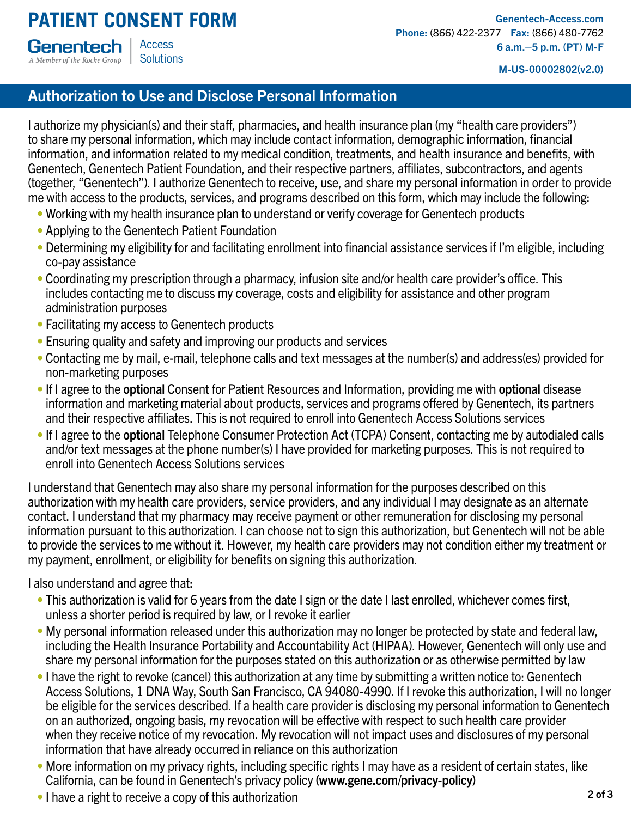M-US-00002802(v2.0)

# Authorization to Use and Disclose Personal Information

I authorize my physician(s) and their staff, pharmacies, and health insurance plan (my "health care providers") to share my personal information, which may include contact information, demographic information, financial information, and information related to my medical condition, treatments, and health insurance and benefits, with Genentech, Genentech Patient Foundation, and their respective partners, affiliates, subcontractors, and agents (together, "Genentech"). I authorize Genentech to receive, use, and share my personal information in order to provide me with access to the products, services, and programs described on this form, which may include the following:

- Working with my health insurance plan to understand or verify coverage for Genentech products
- Applying to the Genentech Patient Foundation
- Determining my eligibility for and facilitating enrollment into financial assistance services if I'm eligible, including co-pay assistance
- Coordinating my prescription through a pharmacy, infusion site and/or health care provider's office. This includes contacting me to discuss my coverage, costs and eligibility for assistance and other program administration purposes
- Facilitating my access to Genentech products
- Ensuring quality and safety and improving our products and services
- Contacting me by mail, e-mail, telephone calls and text messages at the number(s) and address(es) provided for non-marketing purposes
- If I agree to the optional Consent for Patient Resources and Information, providing me with optional disease information and marketing material about products, services and programs offered by Genentech, its partners and their respective affiliates. This is not required to enroll into Genentech Access Solutions services
- If I agree to the optional Telephone Consumer Protection Act (TCPA) Consent, contacting me by autodialed calls and/or text messages at the phone number(s) I have provided for marketing purposes. This is not required to enroll into Genentech Access Solutions services

I understand that Genentech may also share my personal information for the purposes described on this authorization with my health care providers, service providers, and any individual I may designate as an alternate contact. I understand that my pharmacy may receive payment or other remuneration for disclosing my personal information pursuant to this authorization. I can choose not to sign this authorization, but Genentech will not be able to provide the services to me without it. However, my health care providers may not condition either my treatment or my payment, enrollment, or eligibility for benefits on signing this authorization.

I also understand and agree that:

- This authorization is valid for 6 years from the date I sign or the date I last enrolled, whichever comes first, unless a shorter period is required by law, or I revoke it earlier
- My personal information released under this authorization may no longer be protected by state and federal law, including the Health Insurance Portability and Accountability Act (HIPAA). However, Genentech will only use and share my personal information for the purposes stated on this authorization or as otherwise permitted by law
- I have the right to revoke (cancel) this authorization at any time by submitting a written notice to: Genentech Access Solutions, 1 DNA Way, South San Francisco, CA 94080-4990. If I revoke this authorization, I will no longer be eligible for the services described. If a health care provider is disclosing my personal information to Genentech on an authorized, ongoing basis, my revocation will be effective with respect to such health care provider when they receive notice of my revocation. My revocation will not impact uses and disclosures of my personal information that have already occurred in reliance on this authorization
- More information on my privacy rights, including specific rights I may have as a resident of certain states, like California, can be found in Genentech's privacy policy (www.gene.com/privacy-policy)
- I have a right to receive a copy of this authorization 2 of 3